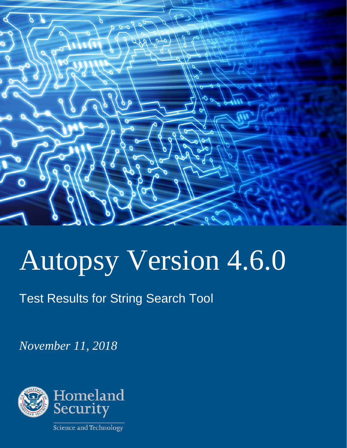

# Autopsy Version 4.6.0

Test Results for String Search Tool

*November 11, 2018* 

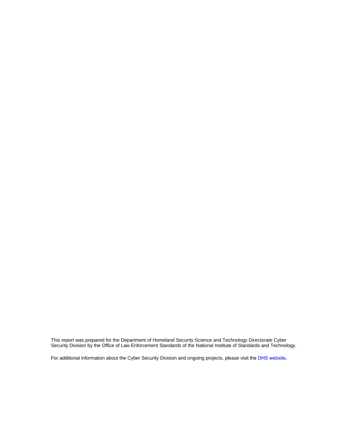This report was prepared for the Department of Homeland Security Science and Technology Directorate Cyber Security Division by the Office of Law Enforcement Standards of the National Institute of Standards and Technology.

For additional information about the Cyber Security Division and ongoing projects, please visit the DHS website.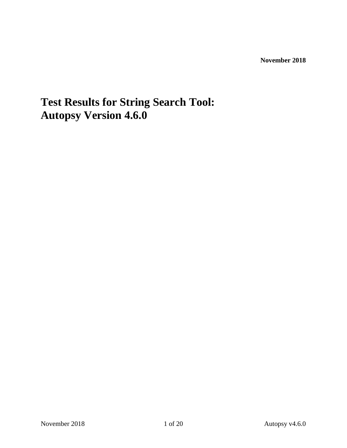**November 2018** 

## **Test Results for String Search Tool: Autopsy Version 4.6.0**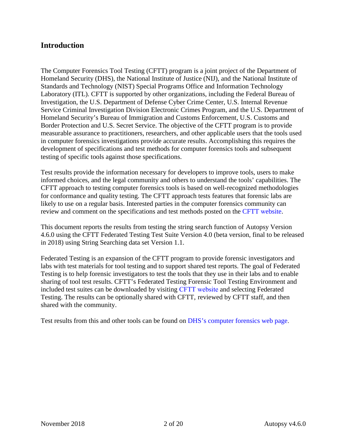#### **Introduction**

The Computer Forensics Tool Testing (CFTT) program is a joint project of the Department of Homeland Security (DHS), the National Institute of Justice (NIJ), and the National Institute of Standards and Technology (NIST) Special Programs Office and Information Technology Laboratory (ITL). CFTT is supported by other organizations, including the Federal Bureau of Investigation, the U.S. Department of Defense Cyber Crime Center, U.S. Internal Revenue Service Criminal Investigation Division Electronic Crimes Program, and the U.S. Department of Homeland Security's Bureau of Immigration and Customs Enforcement, U.S. Customs and Border Protection and U.S. Secret Service. The objective of the CFTT program is to provide measurable assurance to practitioners, researchers, and other applicable users that the tools used in computer forensics investigations provide accurate results. Accomplishing this requires the development of specifications and test methods for computer forensics tools and subsequent testing of specific tools against those specifications.

Test results provide the information necessary for developers to improve tools, users to make informed choices, and the legal community and others to understand the tools' capabilities. The CFTT approach to testing computer forensics tools is based on well-recognized methodologies for conformance and quality testing. The CFTT approach tests features that forensic labs are likely to use on a regular basis. Interested parties in the computer forensics community can review and comment on the specifications and test methods posted on the CFTT website.

This document reports the results from testing the string search function of Autopsy Version 4.6.0 using the CFTT Federated Testing Test Suite Version 4.0 (beta version, final to be released in 2018) using String Searching data set Version 1.1.

Federated Testing is an expansion of the CFTT program to provide forensic investigators and labs with test materials for tool testing and to support shared test reports. The goal of Federated Testing is to help forensic investigators to test the tools that they use in their labs and to enable sharing of tool test results. CFTT's Federated Testing Forensic Tool Testing Environment and included test suites can be downloaded by visiting CFTT website and selecting Federated Testing. The results can be optionally shared with CFTT, reviewed by CFTT staff, and then shared with the community.

Test results from this and other tools can be found on DHS's computer forensics web page.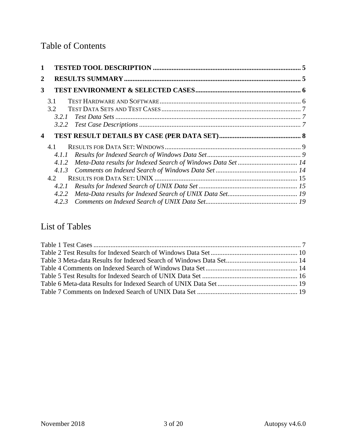#### Table of Contents

| 1                          |       |  |
|----------------------------|-------|--|
| 2                          |       |  |
| 3                          |       |  |
|                            | 3.1   |  |
|                            | 3.2   |  |
|                            | 3.2.1 |  |
|                            | 3.2.2 |  |
| $\boldsymbol{\mathcal{L}}$ |       |  |
|                            |       |  |
|                            | 4.1   |  |
|                            | 4.1.1 |  |
|                            | 4.1.2 |  |
|                            | 4.1.3 |  |
|                            | 4.2.  |  |
|                            | 4.2.1 |  |
|                            | 4.2.2 |  |

#### List of Tables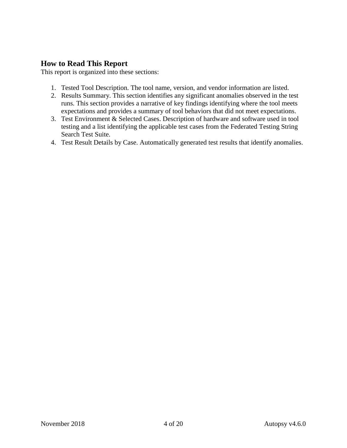#### **How to Read This Report**

This report is organized into these sections:

- 1. Tested Tool Description. The tool name, version, and vendor information are listed.
- 2. Results Summary. This section identifies any significant anomalies observed in the test runs. This section provides a narrative of key findings identifying where the tool meets expectations and provides a summary of tool behaviors that did not meet expectations.
- 3. Test Environment & Selected Cases. Description of hardware and software used in tool testing and a list identifying the applicable test cases from the Federated Testing String Search Test Suite.
- 4. Test Result Details by Case. Automatically generated test results that identify anomalies. 4. Test Result Details by Case. Automatically generated test results that identify anomalies. November 2018 4 of 20 Autopsy v4.6.0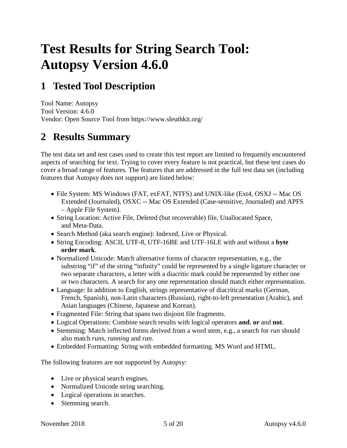## **Test Results for String Search Tool: Autopsy Version 4.6.0**

### <span id="page-6-0"></span>**1 Tested Tool Description**

 Tool Name: Autopsy Tool Version: 4.6.0 Vendor: Open Source Tool from https://www.sleuthkit.org/

#### <span id="page-6-1"></span>**2 Results Summary**

 aspects of searching for text. Trying to cover every feature is not practical, but these test cases do cover a broad range of features. The features that are addressed in the full test data set (including The test data set and test cases used to create this test report are limited to frequently encountered features that Autopsy does not support) are listed below:

- • File System: MS Windows (FAT, exFAT, NTFS) and UNIX-like (Ext4, OSXJ -- Mac OS Extended (Journaled), OSXC -- Mac OS Extended (Case-sensitive, Journaled) and APFS – Apple File System).
- String Location: Active File, Deleted (but recoverable) file, Unallocated Space, and Meta-Data.
- Search Method (aka search engine): Indexed, Live or Physical.
- String Encoding: ASCII, UTF-8, UTF-16BE and UTF-16LE with and without a **byte order mark**.
- Normalized Unicode: Match alternative forms of character representation, e.g., the substring "if" of the string "infinity" could be represented by a single ligature character or two separate characters, a letter with a diacritic mark could be represented by either one or two characters. A search for any one representation should match either representation.
- • Language: In addition to English, strings representative of diacritical marks (German, French, Spanish), non-Latin characters (Russian), right-to-left presentation (Arabic), and Asian languages (Chinese, Japanese and Korean).
- Fragmented File: String that spans two disjoint file fragments.
- Logical Operations: Combine search results with logical operators **and**, **or** and **not**.
- • Stemming: Match inflected forms derived from a word stem, e.g., a search for *run* should also match *runs*, *running* and *ran*.
- Embedded Formatting: String with embedded formatting. MS Word and HTML.

The following features are not supported by Autopsy:

- Live or physical search engines.
- Normalized Unicode string searching.
- Logical operations in searches.
- Stemming search.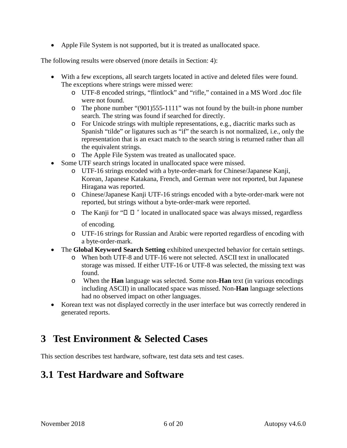• Apple File System is not supported, but it is treated as unallocated space.

The following results were observed (more details in Section: [4\)](#page-9-0):

- • With a few exceptions, all search targets located in active and deleted files were found. The exceptions where strings were missed were:
	- o UTF-8 encoded strings, "flintlock" and "rifle," contained in a MS Word .doc file were not found.
	- o The phone number "(901)555-1111" was not found by the built-in phone number search. The string was found if searched for directly.
	- o For Unicode strings with multiple representations, e.g., diacritic marks such as Spanish "tilde" or ligatures such as "if" the search is not normalized, i.e., only the representation that is an exact match to the search string is returned rather than all the equivalent strings.
	- o The Apple File System was treated as unallocated space.
- Some UTF search strings located in unallocated space were missed.
	- o UTF-16 strings encoded with a byte-order-mark for Chinese/Japanese Kanji, Korean, Japanese Katakana, French, and German were not reported, but Japanese Hiragana was reported.
	- o Chinese/Japanese Kanji UTF-16 strings encoded with a byte-order-mark were not reported, but strings without a byte-order-mark were reported.
	- o The Kanji for " $\Box$   $\Box$ " located in unallocated space was always missed, regardless of encoding.
	- o UTF-16 strings for Russian and Arabic were reported regardless of encoding with a byte-order-mark.
- The **Global Keyword Search Setting** exhibited unexpected behavior for certain settings.
	- storage was missed. If either UTF-16 or UTF-8 was selected, the missing text was o When both UTF-8 and UTF-16 were not selected. ASCII text in unallocated found.
	- o When the **Han** language was selected. Some non-**Han** text (in various encodings including ASCII) in unallocated space was missed. Non-**Han** language selections had no observed impact on other languages.
- Korean text was not displayed correctly in the user interface but was correctly rendered in generated reports.

#### <span id="page-7-0"></span>**3 Test Environment & Selected Cases**

<span id="page-7-1"></span>This section describes test hardware, software, test data sets and test cases.

#### **3.1 Test Hardware and Software**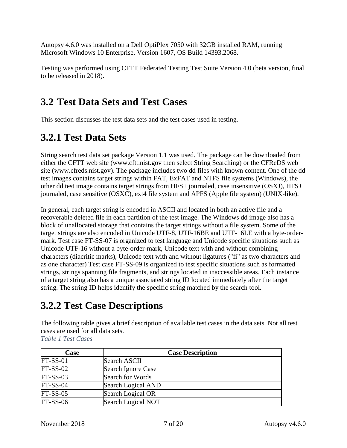Autopsy 4.6.0 was installed on a Dell OptiPlex 7050 with 32GB installed RAM, running Microsoft Windows 10 Enterprise, Version 1607, OS Build 14393.2068.

 Testing was performed using CFTT Federated Testing Test Suite Version 4.0 (beta version, final to be released in 2018).

#### <span id="page-8-0"></span>**3.2 Test Data Sets and Test Cases**

<span id="page-8-1"></span>This section discusses the test data sets and the test cases used in testing.

#### **3.2.1 Test Data Sets**

 either the CFTT web site (www.cftt.nist.gov then select String Searching) or the CFReDS web test images contains target strings within FAT, ExFAT and NTFS file systems (Windows), the String search test data set package Version 1.1 was used. The package can be downloaded from site (www.cfreds.nist.gov). The package includes two dd files with known content. One of the dd other dd test image contains target strings from HFS+ journaled, case insensitive (OSXJ), HFS+ journaled, case sensitive (OSXC), ext4 file system and APFS (Apple file system) (UNIX-like).

 target strings are also encoded in Unicode UTF-8, UTF-16BE and UTF-16LE with a byte-order- characters (diacritic marks), Unicode text with and without ligatures ("fi" as two characters and In general, each target string is encoded in ASCII and located in both an active file and a recoverable deleted file in each partition of the test image. The Windows dd image also has a block of unallocated storage that contains the target strings without a file system. Some of the mark. Test case FT-SS-07 is organized to test language and Unicode specific situations such as Unicode UTF-16 without a byte-order-mark, Unicode text with and without combining as one character) Test case FT-SS-09 is organized to test specific situations such as formatted strings, strings spanning file fragments, and strings located in inaccessible areas. Each instance of a target string also has a unique associated string ID located immediately after the target string. The string ID helps identify the specific string matched by the search tool.

#### <span id="page-8-2"></span>**3.2.2 Test Case Descriptions**

 The following table gives a brief description of available test cases in the data sets. Not all test cases are used for all data sets.

<span id="page-8-3"></span> *Table 1 Test Cases* 

| <b>Case</b> | <b>Case Description</b> |
|-------------|-------------------------|
| $FT-SS-01$  | <b>Search ASCII</b>     |
| $FT-SS-02$  | Search Ignore Case      |
| $FT-SS-03$  | Search for Words        |
| $FT-SS-04$  | Search Logical AND      |
| $FT-SS-05$  | Search Logical OR       |
| $FT-SS-06$  | Search Logical NOT      |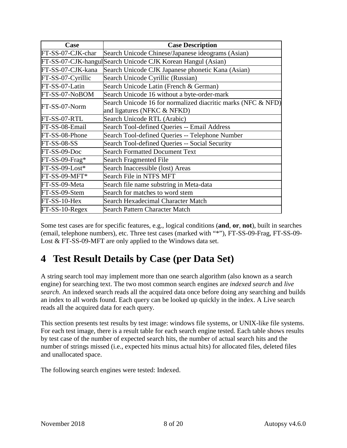| Case              | <b>Case Description</b>                                      |
|-------------------|--------------------------------------------------------------|
| FT-SS-07-CJK-char | Search Unicode Chinese/Japanese ideograms (Asian)            |
|                   | FT-SS-07-CJK-hangul Search Unicode CJK Korean Hangul (Asian) |
| FT-SS-07-CJK-kana | Search Unicode CJK Japanese phonetic Kana (Asian)            |
| FT-SS-07-Cyrillic | Search Unicode Cyrillic (Russian)                            |
| FT-SS-07-Latin    | Search Unicode Latin (French & German)                       |
| FT-SS-07-NoBOM    | Search Unicode 16 without a byte-order-mark                  |
| FT-SS-07-Norm     | Search Unicode 16 for normalized diacritic marks (NFC & NFD) |
|                   | and ligatures (NFKC & NFKD)                                  |
| FT-SS-07-RTL      | Search Unicode RTL (Arabic)                                  |
| FT-SS-08-Email    | Search Tool-defined Queries -- Email Address                 |
| FT-SS-08-Phone    | Search Tool-defined Queries -- Telephone Number              |
| $FT-SS-08-SS$     | Search Tool-defined Queries -- Social Security               |
| FT-SS-09-Doc      | <b>Search Formatted Document Text</b>                        |
| FT-SS-09-Frag*    | <b>Search Fragmented File</b>                                |
| FT-SS-09-Lost*    | Search Inaccessible (lost) Areas                             |
| FT-SS-09-MFT*     | Search File in NTFS MFT                                      |
| FT-SS-09-Meta     | Search file name substring in Meta-data                      |
| FT-SS-09-Stem     | Search for matches to word stem                              |
| FT-SS-10-Hex      | Search Hexadecimal Character Match                           |
| FT-SS-10-Regex    | <b>Search Pattern Character Match</b>                        |

Some test cases are for specific features, e.g., logical conditions (**and**, **or**, **not**), built in searches (email, telephone numbers), etc. Three test cases (marked with "\*"), FT-SS-09-Frag, FT-SS-09- Lost & FT-SS-09-MFT are only applied to the Windows data set.

#### <span id="page-9-0"></span>**4 Test Result Details by Case (per Data Set)**

 *search*. An indexed search reads all the acquired data once before doing any searching and builds A string search tool may implement more than one search algorithm (also known as a search engine) for searching text. The two most common search engines are *indexed search* and *live*  an index to all words found. Each query can be looked up quickly in the index. A Live search reads all the acquired data for each query.

This section presents test results by test image: windows file systems, or UNIX-like file systems. For each test image, there is a result table for each search engine tested. Each table shows results by test case of the number of expected search hits, the number of actual search hits and the number of strings missed (i.e., expected hits minus actual hits) for allocated files, deleted files and unallocated space.

The following search engines were tested: Indexed.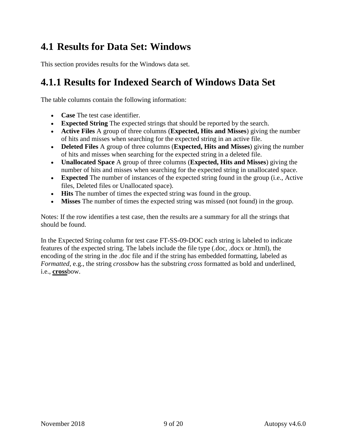#### <span id="page-10-0"></span>**4.1 Results for Data Set: Windows**

<span id="page-10-1"></span>This section provides results for the Windows data set.

#### **4.1.1 Results for Indexed Search of Windows Data Set**

The table columns contain the following information:

- **Case** The test case identifier.
- **Expected String** The expected strings that should be reported by the search.
- • **Active Files** A group of three columns (**Expected, Hits and Misses**) giving the number of hits and misses when searching for the expected string in an active file.
- • **Deleted Files** A group of three columns (**Expected, Hits and Misses**) giving the number of hits and misses when searching for the expected string in a deleted file.
- **Unallocated Space** A group of three columns (**Expected, Hits and Misses**) giving the number of hits and misses when searching for the expected string in unallocated space.
- **Expected** The number of instances of the expected string found in the group (i.e., Active files, Deleted files or Unallocated space).
- **Hits** The number of times the expected string was found in the group.
- Misses The number of times the expected string was missed (not found) in the group.

Notes: If the row identifies a test case, then the results are a summary for all the strings that should be found.

In the Expected String column for test case FT-SS-09-DOC each string is labeled to indicate features of the expected string. The labels include the file type (.doc, .docx or .html), the encoding of the string in the .doc file and if the string has embedded formatting, labeled as *Formatted*, e.g., the string *crossbow* has the substring *cross* formatted as bold and underlined, i.e., **cross**bow.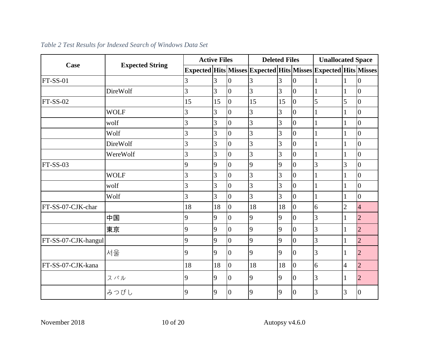<span id="page-11-0"></span>

|                     |                        | <b>Active Files</b> |                |                | <b>Deleted Files</b>                                                           |    |                | <b>Unallocated Space</b> |                |                |
|---------------------|------------------------|---------------------|----------------|----------------|--------------------------------------------------------------------------------|----|----------------|--------------------------|----------------|----------------|
| Case                | <b>Expected String</b> |                     |                |                | Expected   Hits   Misses   Expected   Hits   Misses   Expected   Hits   Misses |    |                |                          |                |                |
| <b>FT-SS-01</b>     |                        | 3                   | 3              | $\overline{0}$ | 3                                                                              | 3  | $\overline{0}$ |                          |                | $\overline{0}$ |
|                     | DireWolf               | 3                   | $\overline{3}$ | $\overline{0}$ | 3                                                                              | 3  | $\overline{0}$ |                          |                | $\overline{0}$ |
| $FT-SS-02$          |                        | 15                  | 15             | $\overline{0}$ | 15                                                                             | 15 | $\overline{0}$ | 5                        | 5              | $\overline{0}$ |
|                     | <b>WOLF</b>            | 3                   | 3              | $\overline{0}$ | 3                                                                              | 3  | $\overline{0}$ |                          |                | $\overline{0}$ |
|                     | wolf                   | 3                   | 3              | $\overline{0}$ | 3                                                                              | 3  | $\overline{0}$ |                          |                | $\overline{0}$ |
|                     | Wolf                   | 3                   | 3              | $\overline{0}$ | 3                                                                              | 3  | $\overline{0}$ |                          |                | $\overline{0}$ |
|                     | <b>DireWolf</b>        | 3                   | 3              | $\overline{0}$ | 3                                                                              | 3  | $\overline{0}$ |                          |                | $\overline{0}$ |
|                     | WereWolf               | 3                   | 3              | $\overline{0}$ | 3                                                                              | 3  | $\overline{0}$ |                          |                | $\overline{0}$ |
| $FT-SS-03$          |                        | 9                   | 9              | $\overline{0}$ | 9                                                                              | 9  | $\overline{0}$ | 3                        | 3              | $\overline{0}$ |
|                     | <b>WOLF</b>            | 3                   | 3              | $\overline{0}$ | 3                                                                              | 3  | $\overline{0}$ |                          |                | $\overline{0}$ |
|                     | wolf                   | 3                   | 3              | $\overline{0}$ | 3                                                                              | 3  | $\overline{0}$ |                          |                | $\overline{0}$ |
|                     | Wolf                   | 3                   | $\overline{3}$ | $\overline{0}$ | 3                                                                              | 3  | $\overline{0}$ |                          |                | $\overline{0}$ |
| FT-SS-07-CJK-char   |                        | 18                  | 18             | $\overline{0}$ | 18                                                                             | 18 | $\overline{0}$ | 6                        | $\overline{2}$ | $\overline{4}$ |
|                     | 中国                     | $\overline{9}$      | 9              | $\overline{0}$ | 9                                                                              | 9  | $\theta$       | 3                        |                | $\overline{2}$ |
|                     | 東京                     | $\overline{9}$      | 9              | $\Omega$       | $\overline{9}$                                                                 | 9  | $\theta$       | 3                        |                | $\overline{2}$ |
| FT-SS-07-CJK-hangul |                        | 9                   | 9              | $\overline{0}$ | 9                                                                              | 9  | $\overline{0}$ | $\overline{3}$           |                | $\overline{2}$ |
|                     | 서울                     | 9                   | 9              | $\overline{0}$ | $\overline{9}$                                                                 | 9  | $\overline{0}$ | 3                        |                | $\overline{2}$ |
| FT-SS-07-CJK-kana   |                        | 18                  | 18             | $\overline{0}$ | 18                                                                             | 18 | $\overline{0}$ | 6                        | $\overline{4}$ | $\overline{2}$ |
|                     | スバル                    | 9                   | 9              | $\overline{0}$ | $\overline{9}$                                                                 | 9  | $\overline{0}$ | 3                        | 1              | $\overline{2}$ |
|                     | みつびし                   | 9                   | 9              | $\overline{0}$ | $\overline{9}$                                                                 | 9  | $\overline{0}$ | 3                        | 3              | $\overline{0}$ |

#### *Table 2 Test Results for Indexed Search of Windows Data Set*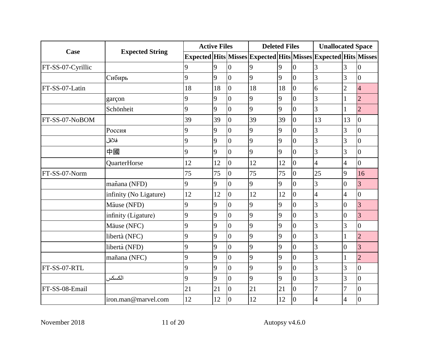|                   |                        |    | <b>Active Files</b> |                  |                                                                                | <b>Deleted Files</b> |                |                | <b>Unallocated Space</b> |                |  |
|-------------------|------------------------|----|---------------------|------------------|--------------------------------------------------------------------------------|----------------------|----------------|----------------|--------------------------|----------------|--|
| Case              | <b>Expected String</b> |    |                     |                  | Expected   Hits   Misses   Expected   Hits   Misses   Expected   Hits   Misses |                      |                |                |                          |                |  |
| FT-SS-07-Cyrillic |                        | 9  | 9                   | $\Omega$         | 9                                                                              | 9                    | $\overline{0}$ | 3              | 3                        | $\overline{0}$ |  |
|                   | Сибирь                 | 9  | 9                   | $\overline{0}$   | 9                                                                              | 9                    | $\overline{0}$ | $\overline{3}$ | $\overline{3}$           | $\overline{0}$ |  |
| FT-SS-07-Latin    |                        | 18 | 18                  | $\overline{0}$   | 18                                                                             | 18                   | $\overline{0}$ | 6              | $\overline{2}$           | $\overline{4}$ |  |
|                   | garçon                 | 9  | 9                   | $\overline{0}$   | 9                                                                              | 9                    | $\overline{0}$ | 3              |                          | $\overline{2}$ |  |
|                   | Schönheit              | 9  | 9                   | $\overline{0}$   | 9                                                                              | 9                    | $\overline{0}$ | 3              |                          | $\overline{2}$ |  |
| FT-SS-07-NoBOM    |                        | 39 | 39                  | $\overline{0}$   | 39                                                                             | 39                   | $\overline{0}$ | 13             | 13                       | $\overline{0}$ |  |
|                   | Россия                 | 9  | 9                   | $\overline{0}$   | 9                                                                              | 9                    | $\overline{0}$ | 3              | 3                        | $\overline{0}$ |  |
|                   | فلافل                  | 9  | 9                   | $\overline{0}$   | 9                                                                              | 9                    | $\overline{0}$ | 3              | 3                        | $\overline{0}$ |  |
|                   | 中國                     | 9  | 9                   | $\overline{0}$   | $\overline{9}$                                                                 | 9                    | $\overline{0}$ | 3              | 3                        | $\overline{0}$ |  |
|                   | QuarterHorse           | 12 | 12                  | $\overline{0}$   | 12                                                                             | 12                   | $\overline{0}$ | $\overline{4}$ | 4                        | $\overline{0}$ |  |
| FT-SS-07-Norm     |                        | 75 | 75                  | $\overline{0}$   | 75                                                                             | 75                   | $\overline{0}$ | 25             | 9                        | 16             |  |
|                   | mañana (NFD)           | 9  | 9                   | $\overline{0}$   | 9                                                                              | 9                    | $\overline{0}$ | 3              | $\overline{0}$           | $\overline{3}$ |  |
|                   | infinity (No Ligature) | 12 | 12                  | $\overline{0}$   | 12                                                                             | 12                   | $\overline{0}$ | $\overline{4}$ | 4                        | $\overline{0}$ |  |
|                   | Mäuse (NFD)            | 9  | 9                   | $\overline{0}$   | 9                                                                              | 9                    | $\overline{0}$ | $\overline{3}$ | $\theta$                 | $\overline{3}$ |  |
|                   | infinity (Ligature)    | 9  | 9                   | $\overline{0}$   | 9                                                                              | 9                    | $\overline{0}$ | 3              | $\overline{0}$           | 3              |  |
|                   | Mäuse (NFC)            | 9  | 9                   | $\overline{0}$   | 9                                                                              | 9                    | $\overline{0}$ | 3              | 3                        | $\overline{0}$ |  |
|                   | libertà (NFC)          | 9  | 9                   | $\overline{0}$   | 9                                                                              | 9                    | $\overline{0}$ | 3              |                          | $\overline{2}$ |  |
|                   | libertà (NFD)          | 9  | 9                   | $\overline{0}$   | 9                                                                              | 9                    | $\overline{0}$ | 3              | $\theta$                 | $\overline{3}$ |  |
|                   | mañana (NFC)           | 9  | 9                   | $\overline{0}$   | 9                                                                              | 9                    | $\overline{0}$ | 3              |                          | $\overline{2}$ |  |
| FT-SS-07-RTL      |                        | 9  | 9                   | $\overline{0}$   | 9                                                                              | 9                    | $\overline{0}$ | 3              | 3                        | $\overline{0}$ |  |
|                   | الكسكس                 | 9  | 9                   | $\overline{0}$   | 9                                                                              | 9                    | $\overline{0}$ | 3              | 3                        | $\overline{0}$ |  |
| FT-SS-08-Email    |                        | 21 | 21                  | $\overline{0}$   | 21                                                                             | 21                   | $\overline{0}$ |                |                          | $\overline{0}$ |  |
|                   | iron.man@marvel.com    | 12 | 12                  | $\boldsymbol{0}$ | 12                                                                             | 12                   | $\overline{0}$ | $\overline{4}$ | 4                        | $\overline{0}$ |  |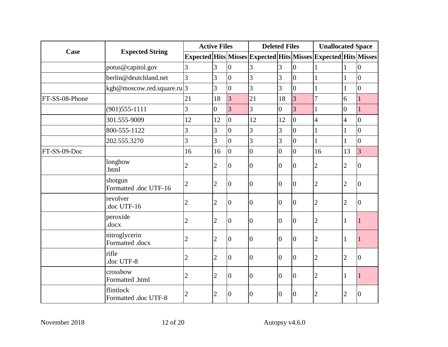|                |                                   | <b>Active Files</b> |                |                  | <b>Deleted Files</b>                                                           |                  |                | <b>Unallocated Space</b> |                |                 |
|----------------|-----------------------------------|---------------------|----------------|------------------|--------------------------------------------------------------------------------|------------------|----------------|--------------------------|----------------|-----------------|
| Case           | <b>Expected String</b>            |                     |                |                  | Expected   Hits   Misses   Expected   Hits   Misses   Expected   Hits   Misses |                  |                |                          |                |                 |
|                | potus@capitol.gov                 | 3                   | 3              | $\overline{0}$   | 3                                                                              | 3                | $\overline{0}$ |                          |                | $\overline{0}$  |
|                | berlin@deutchland.net             | 3                   | 3              | $\overline{0}$   | 3                                                                              | $\overline{3}$   | $\overline{0}$ |                          |                | $\overline{0}$  |
|                | kgb@moscow.red.square.ru 3        |                     | 3              | $\overline{0}$   | 3                                                                              | 3                | $\overline{0}$ |                          |                | $\overline{0}$  |
| FT-SS-08-Phone |                                   | 21                  | 18             | 3                | 21                                                                             | 18               | $\overline{3}$ | 7                        | 6              |                 |
|                | $(901)$ 555-1111                  | 3                   | $\overline{0}$ | 3                | 3                                                                              | $\overline{0}$   | 3              |                          | $\overline{0}$ |                 |
|                | 301.555-9009                      | 12                  | 12             | $\overline{0}$   | 12                                                                             | 12               | $\overline{0}$ | $\overline{4}$           | 4              | $\overline{0}$  |
|                | 800-555-1122                      | 3                   | 3              | $\overline{0}$   | 3                                                                              | 3                | $\overline{0}$ |                          |                | $\overline{0}$  |
|                | 202.555.3270                      | 3                   | 3              | $\overline{0}$   | 3                                                                              | 3                | $\overline{0}$ |                          |                | $\overline{0}$  |
| FT-SS-09-Doc   |                                   | 16                  | 16             | $\overline{0}$   | $\overline{0}$                                                                 | $\overline{0}$   | $\overline{0}$ | 16                       | 13             | 3               |
|                | longbow<br>.html                  | $\overline{c}$      | $\overline{2}$ | $\overline{0}$   | $\overline{0}$                                                                 | $\boldsymbol{0}$ | $\overline{0}$ | 2                        | 2              | $\vert 0 \vert$ |
|                | shotgun<br>Formatted .doc UTF-16  | $\overline{2}$      | $\overline{2}$ | $\overline{0}$   | $\overline{0}$                                                                 | $\overline{0}$   | $\overline{0}$ | 2                        | $\overline{2}$ | $\overline{0}$  |
|                | revolver<br>doc UTF-16            | $\overline{2}$      | $\overline{2}$ | $\overline{0}$   | $\overline{0}$                                                                 | $\boldsymbol{0}$ | $\overline{0}$ | 2                        | $\overline{2}$ | $\overline{0}$  |
|                | peroxide<br>.docx                 | $\overline{c}$      | $\overline{2}$ | $\boldsymbol{0}$ | $\overline{0}$                                                                 | $\overline{0}$   | $\overline{0}$ | 2                        | 1              |                 |
|                | nitroglycerin<br>Formatted .docx  | $\overline{c}$      | $\overline{2}$ | $\overline{0}$   | $\overline{0}$                                                                 | $\theta$         | $\overline{0}$ | 2                        | 1              |                 |
|                | rifle<br>doc UTF-8                | $\overline{c}$      | $\overline{2}$ | $\overline{0}$   | $\overline{0}$                                                                 | $\overline{0}$   | $\overline{0}$ | $\overline{2}$           | $\overline{2}$ | $\overline{0}$  |
|                | crossbow<br>Formatted .html       | $\overline{2}$      | $\overline{2}$ | $\overline{0}$   | $\overline{0}$                                                                 | $\theta$         | $\overline{0}$ | $\overline{2}$           | 1              |                 |
|                | flintlock<br>Formatted .doc UTF-8 | $\overline{c}$      | $\overline{2}$ | $\boldsymbol{0}$ | $\overline{0}$                                                                 | $\theta$         | $\overline{0}$ | $\overline{2}$           | $\overline{2}$ | $\overline{0}$  |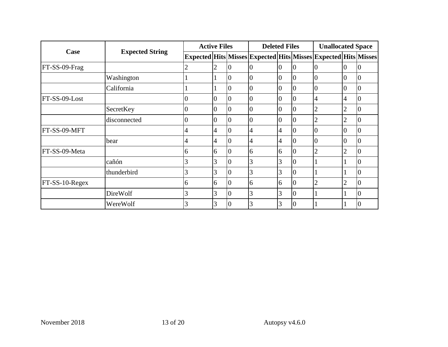|                  |                        | <b>Active Files</b> |                |                | <b>Deleted Files</b>                                                           |                |                | <b>Unallocated Space</b> |                |          |
|------------------|------------------------|---------------------|----------------|----------------|--------------------------------------------------------------------------------|----------------|----------------|--------------------------|----------------|----------|
| Case             | <b>Expected String</b> |                     |                |                | Expected   Hits   Misses   Expected   Hits   Misses   Expected   Hits   Misses |                |                |                          |                |          |
| FT-SS-09-Frag    |                        | 2                   | 2              | 10             | $\overline{0}$                                                                 | 0              | $\overline{0}$ | 0                        | 10             | 10       |
|                  | Washington             |                     |                | $\overline{0}$ | $\overline{0}$                                                                 | $\overline{0}$ | $\overline{0}$ | $\overline{0}$           | 0              | Ю        |
|                  | California             |                     |                | $\Omega$       | $\theta$                                                                       | 0              | $\overline{0}$ | $\Omega$                 | $\Omega$       | 0        |
| FT-SS-09-Lost    |                        | $\overline{0}$      | $\overline{0}$ | $\overline{0}$ | $\overline{0}$                                                                 | 0              | $\overline{0}$ | 4                        | 4              | 10       |
|                  | SecretKey              | $\overline{0}$      | $\overline{0}$ | $\overline{0}$ | $\overline{0}$                                                                 | $\overline{0}$ | $\overline{0}$ | $\overline{2}$           | 2              | 10       |
|                  | disconnected           | $\overline{0}$      | $\overline{0}$ | $\Omega$       | $\theta$                                                                       | 0              | $\overline{0}$ | 2                        | 2              |          |
| FT-SS-09-MFT     |                        | 4                   | $\overline{4}$ | $\overline{0}$ | 4                                                                              | 4              | $\overline{0}$ | 0                        | $\overline{0}$ | Ю        |
|                  | bear                   | 4                   | 4              | $\overline{0}$ | 4                                                                              | 4              | $\overline{0}$ | $\Omega$                 | 0              | Ю        |
| FT-SS-09-Meta    |                        | 6                   | 6              | $\Omega$       | 6                                                                              | 6              | $\overline{0}$ | $\overline{2}$           | $\overline{c}$ | $\theta$ |
|                  | cañón                  | 3                   | 3              | $\overline{0}$ | 3                                                                              | 3              | $\overline{0}$ |                          |                | Ю        |
|                  | thunderbird            | 3                   | 3              | $\overline{0}$ | 3                                                                              | 3              | $\overline{0}$ |                          |                | 0        |
| $FT-SS-10-Regex$ |                        | 6                   | 6              | 0              | 6                                                                              | 6              | $\overline{0}$ | $\overline{2}$           | 2              | $\theta$ |
|                  | DireWolf               | 3                   | 3              | $\overline{0}$ | 3                                                                              | 3              | $\overline{0}$ |                          |                | Ю        |
|                  | WereWolf               | 3                   | 3              | $\Omega$       | 3                                                                              | 3              | $\overline{0}$ |                          |                | 0        |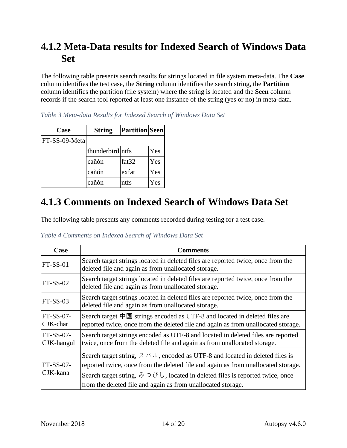#### <span id="page-15-0"></span>**4.1.2 Meta-Data results for Indexed Search of Windows Data Set**

 column identifies the partition (file system) where the string is located and the **Seen** column The following table presents search results for strings located in file system meta-data. The **Case**  column identifies the test case, the **String** column identifies the search string, the **Partition**  records if the search tool reported at least one instance of the string (yes or no) in meta-data.

| Case          | <b>String</b>    | <b>Partition Seen</b> |     |
|---------------|------------------|-----------------------|-----|
| FT-SS-09-Meta |                  |                       |     |
|               | thunderbird ntfs |                       | Yes |
|               | cañón            | fat32                 | Yes |
|               | cañón            | exfat                 | Yes |
|               | cañón            | ntfs                  | Yes |

<span id="page-15-2"></span> *Table 3 Meta-data Results for Indexed Search of Windows Data Set* 

#### <span id="page-15-1"></span>**4.1.3 Comments on Indexed Search of Windows Data Set**

The following table presents any comments recorded during testing for a test case.

<span id="page-15-3"></span> *Table 4 Comments on Indexed Search of Windows Data Set* 

| Case                    | <b>Comments</b>                                                                                                                                                                                                                                                                                                                                                 |
|-------------------------|-----------------------------------------------------------------------------------------------------------------------------------------------------------------------------------------------------------------------------------------------------------------------------------------------------------------------------------------------------------------|
| $FT-SS-01$              | Search target strings located in deleted files are reported twice, once from the<br>deleted file and again as from unallocated storage.                                                                                                                                                                                                                         |
| $FT-SS-02$              | Search target strings located in deleted files are reported twice, once from the<br>deleted file and again as from unallocated storage.                                                                                                                                                                                                                         |
| $FT-SS-03$              | Search target strings located in deleted files are reported twice, once from the<br>deleted file and again as from unallocated storage.                                                                                                                                                                                                                         |
| $FT-SS-07-$<br>CJK-char | Search target $\overline{AB}$ strings encoded as UTF-8 and located in deleted files are<br>reported twice, once from the deleted file and again as from unallocated storage.                                                                                                                                                                                    |
| FT-SS-07-<br>CJK-hangul | Search target strings encoded as UTF-8 and located in deleted files are reported<br>twice, once from the deleted file and again as from unallocated storage.                                                                                                                                                                                                    |
| $FT-SS-07-$<br>CJK-kana | Search target string, $\lambda \wedge \lambda \vee \nu$ , encoded as UTF-8 and located in deleted files is<br>reported twice, once from the deleted file and again as from unallocated storage.<br>Search target string, $\phi \supset \psi$ , located in deleted files is reported twice, once<br>from the deleted file and again as from unallocated storage. |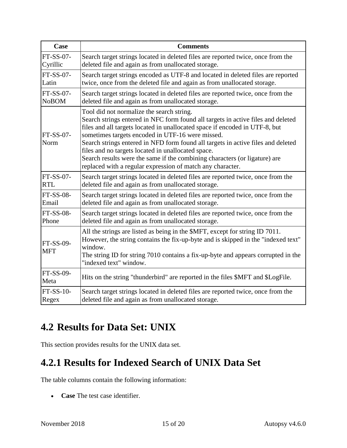| Case                    | <b>Comments</b>                                                                                                                                                                                                                                                                                                                                                                                                                                                                                                                                        |
|-------------------------|--------------------------------------------------------------------------------------------------------------------------------------------------------------------------------------------------------------------------------------------------------------------------------------------------------------------------------------------------------------------------------------------------------------------------------------------------------------------------------------------------------------------------------------------------------|
| FT-SS-07-               | Search target strings located in deleted files are reported twice, once from the                                                                                                                                                                                                                                                                                                                                                                                                                                                                       |
| Cyrillic                | deleted file and again as from unallocated storage.                                                                                                                                                                                                                                                                                                                                                                                                                                                                                                    |
| FT-SS-07-               | Search target strings encoded as UTF-8 and located in deleted files are reported                                                                                                                                                                                                                                                                                                                                                                                                                                                                       |
| Latin                   | twice, once from the deleted file and again as from unallocated storage.                                                                                                                                                                                                                                                                                                                                                                                                                                                                               |
| FT-SS-07-               | Search target strings located in deleted files are reported twice, once from the                                                                                                                                                                                                                                                                                                                                                                                                                                                                       |
| <b>NoBOM</b>            | deleted file and again as from unallocated storage.                                                                                                                                                                                                                                                                                                                                                                                                                                                                                                    |
| FT-SS-07-<br>Norm       | Tool did not normalize the search string.<br>Search strings entered in NFC form found all targets in active files and deleted<br>files and all targets located in unallocated space if encoded in UTF-8, but<br>sometimes targets encoded in UTF-16 were missed.<br>Search strings entered in NFD form found all targets in active files and deleted<br>files and no targets located in unallocated space.<br>Search results were the same if the combining characters (or ligature) are<br>replaced with a regular expression of match any character. |
| FT-SS-07-               | Search target strings located in deleted files are reported twice, once from the                                                                                                                                                                                                                                                                                                                                                                                                                                                                       |
| <b>RTL</b>              | deleted file and again as from unallocated storage.                                                                                                                                                                                                                                                                                                                                                                                                                                                                                                    |
| FT-SS-08-               | Search target strings located in deleted files are reported twice, once from the                                                                                                                                                                                                                                                                                                                                                                                                                                                                       |
| Email                   | deleted file and again as from unallocated storage.                                                                                                                                                                                                                                                                                                                                                                                                                                                                                                    |
| FT-SS-08-               | Search target strings located in deleted files are reported twice, once from the                                                                                                                                                                                                                                                                                                                                                                                                                                                                       |
| Phone                   | deleted file and again as from unallocated storage.                                                                                                                                                                                                                                                                                                                                                                                                                                                                                                    |
| FT-SS-09-<br><b>MFT</b> | All the strings are listed as being in the \$MFT, except for string ID 7011.<br>However, the string contains the fix-up-byte and is skipped in the "indexed text"<br>window.<br>The string ID for string 7010 contains a fix-up-byte and appears corrupted in the<br>"indexed text" window.                                                                                                                                                                                                                                                            |
| FT-SS-09-<br>Meta       | Hits on the string "thunderbird" are reported in the files \$MFT and \$LogFile.                                                                                                                                                                                                                                                                                                                                                                                                                                                                        |
| $FT-SS-10-$             | Search target strings located in deleted files are reported twice, once from the                                                                                                                                                                                                                                                                                                                                                                                                                                                                       |
| Regex                   | deleted file and again as from unallocated storage.                                                                                                                                                                                                                                                                                                                                                                                                                                                                                                    |

## <span id="page-16-0"></span>**4.2 Results for Data Set: UNIX**

This section provides results for the UNIX data set.

## <span id="page-16-1"></span>**4.2.1 Results for Indexed Search of UNIX Data Set**

The table columns contain the following information:

• **Case** The test case identifier.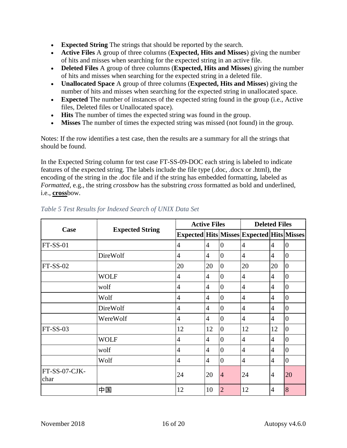- **Expected String** The strings that should be reported by the search.
- • **Active Files** A group of three columns (**Expected, Hits and Misses**) giving the number of hits and misses when searching for the expected string in an active file.
- • **Deleted Files** A group of three columns (**Expected, Hits and Misses**) giving the number of hits and misses when searching for the expected string in a deleted file.
- **Unallocated Space** A group of three columns (**Expected, Hits and Misses**) giving the number of hits and misses when searching for the expected string in unallocated space.
- **Expected** The number of instances of the expected string found in the group (i.e., Active files, Deleted files or Unallocated space).
- **Hits** The number of times the expected string was found in the group.
- **Misses** The number of times the expected string was missed (not found) in the group.

Notes: If the row identifies a test case, then the results are a summary for all the strings that should be found.

 *Formatted*, e.g., the string *crossbow* has the substring *cross* formatted as bold and underlined, In the Expected String column for test case FT-SS-09-DOC each string is labeled to indicate features of the expected string. The labels include the file type (.doc, .docx or .html), the encoding of the string in the .doc file and if the string has embedded formatting, labeled as i.e., **cross**bow.

|                       |                        |                | <b>Active Files</b> |                  | <b>Deleted Files</b>                                |                |                |
|-----------------------|------------------------|----------------|---------------------|------------------|-----------------------------------------------------|----------------|----------------|
| Case                  | <b>Expected String</b> |                |                     |                  | Expected   Hits   Misses   Expected   Hits   Misses |                |                |
| <b>FT-SS-01</b>       |                        | 4              | $\overline{4}$      | $\theta$         | $\overline{4}$                                      | 4              | $\theta$       |
|                       | DireWolf               | 4              | 4                   | $\theta$         | $\overline{4}$                                      | 4              | $\overline{0}$ |
| $FT-SS-02$            |                        | 20             | 20                  | $\theta$         | 20                                                  | 20             | $\overline{0}$ |
|                       | <b>WOLF</b>            | 4              | 4                   | $\overline{0}$   | $\overline{4}$                                      | $\overline{4}$ | $\overline{0}$ |
|                       | wolf                   | $\overline{4}$ | $\overline{4}$      | $\boldsymbol{0}$ | $\overline{4}$                                      | 4              | $\overline{0}$ |
|                       | Wolf                   | $\overline{4}$ | 4                   | $\Omega$         | 4                                                   | 4              | $\overline{0}$ |
|                       | DireWolf               | $\overline{4}$ | 4                   | $\overline{0}$   | 4                                                   | 4              | $\overline{0}$ |
|                       | WereWolf               | 4              | $\overline{4}$      | $\theta$         | $\overline{4}$                                      | 4              | $\overline{0}$ |
| $FT-SS-03$            |                        | 12             | 12                  | $\overline{0}$   | 12                                                  | 12             | $\overline{0}$ |
|                       | <b>WOLF</b>            | $\overline{4}$ | 4                   | $\overline{0}$   | $\overline{4}$                                      | $\overline{4}$ | $\overline{0}$ |
|                       | wolf                   | $\overline{4}$ | $\overline{4}$      | $\theta$         | 4                                                   | 4              | $\overline{0}$ |
|                       | Wolf                   | 4              | $\overline{4}$      | $\theta$         | $\overline{4}$                                      | 4              | $\overline{0}$ |
| FT-SS-07-CJK-<br>char |                        | 24             | 20                  | $\overline{4}$   | 24                                                  | $\overline{4}$ | 20             |
|                       | 中国                     | 12             | 10                  | $\overline{2}$   | 12                                                  | 4              | 8              |

#### <span id="page-17-0"></span> *Table 5 Test Results for Indexed Search of UNIX Data Set*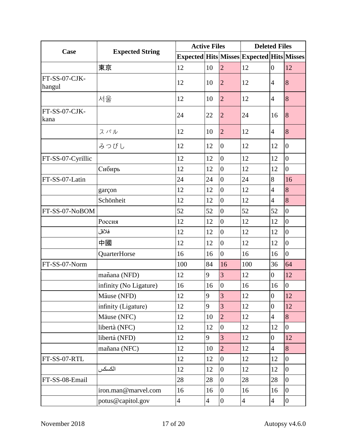| Case                    | <b>Expected String</b> | <b>Active Files</b> |                |                  | <b>Deleted Files</b>                                |                |                  |
|-------------------------|------------------------|---------------------|----------------|------------------|-----------------------------------------------------|----------------|------------------|
|                         |                        |                     |                |                  | Expected   Hits   Misses   Expected   Hits   Misses |                |                  |
|                         | 東京                     | 12                  | 10             | $\overline{2}$   | 12                                                  | $\overline{0}$ | 12               |
| FT-SS-07-CJK-<br>hangul |                        | 12                  | 10             | $\overline{2}$   | 12                                                  | 4              | $\overline{8}$   |
|                         | 서울                     | 12                  | 10             | $\overline{2}$   | 12                                                  | 4              | 8                |
| FT-SS-07-CJK-<br>kana   |                        | 24                  | 22             | $\overline{2}$   | 24                                                  | 16             | $\overline{8}$   |
|                         | スバル                    | 12                  | 10             | $\overline{2}$   | 12                                                  | $\overline{4}$ | 8                |
|                         | みつびし                   | 12                  | 12             | $\boldsymbol{0}$ | 12                                                  | 12             | $\overline{0}$   |
| FT-SS-07-Cyrillic       |                        | 12                  | 12             | $\overline{0}$   | 12                                                  | 12             | $\overline{0}$   |
|                         | Сибирь                 | 12                  | 12             | $\overline{0}$   | 12                                                  | 12             | $\overline{0}$   |
| FT-SS-07-Latin          |                        | 24                  | 24             | $\overline{0}$   | 24                                                  | 8              | 16               |
|                         | garçon                 | 12                  | 12             | $\overline{0}$   | 12                                                  | $\overline{4}$ | 8                |
|                         | Schönheit              | 12                  | 12             | $\overline{0}$   | 12                                                  | $\overline{4}$ | 8                |
| FT-SS-07-NoBOM          |                        | 52                  | 52             | $\overline{0}$   | 52                                                  | 52             | $\overline{0}$   |
|                         | Россия                 | 12                  | 12             | $\overline{0}$   | 12                                                  | 12             | $\boldsymbol{0}$ |
|                         | فلافل                  | 12                  | 12             | $\overline{0}$   | 12                                                  | 12             | $\overline{0}$   |
|                         | 中國                     | 12                  | 12             | $\overline{0}$   | 12                                                  | 12             | $\overline{0}$   |
|                         | QuarterHorse           | 16                  | 16             | $\overline{0}$   | 16                                                  | 16             | $\overline{0}$   |
| FT-SS-07-Norm           |                        | 100                 | 84             | 16               | 100                                                 | 36             | 64               |
|                         | mañana (NFD)           | 12                  | 9              | $\overline{3}$   | 12                                                  | $\overline{0}$ | 12               |
|                         | infinity (No Ligature) | 16                  | 16             | $\boldsymbol{0}$ | 16                                                  | 16             | $\boldsymbol{0}$ |
|                         | Mäuse (NFD)            | 12                  | 9              | $\overline{3}$   | 12                                                  | $\overline{0}$ | 12               |
|                         | infinity (Ligature)    | 12                  | 9              | $\overline{3}$   | 12                                                  | $\overline{0}$ | 12               |
|                         | Mäuse (NFC)            | 12                  | 10             | $\overline{2}$   | 12                                                  | $\overline{4}$ | 8                |
|                         | libertà (NFC)          | 12                  | 12             | $\overline{0}$   | 12                                                  | 12             | $\overline{0}$   |
|                         | libertà (NFD)          | 12                  | 9              | 3                | 12                                                  | $\overline{0}$ | 12               |
|                         | mañana (NFC)           | 12                  | 10             | $\overline{2}$   | 12                                                  | $\overline{4}$ | 8                |
| FT-SS-07-RTL            |                        | 12                  | 12             | $\overline{0}$   | 12                                                  | 12             | $\overline{0}$   |
|                         | الكسكس                 | 12                  | 12             | $\overline{0}$   | 12                                                  | 12             | $\overline{0}$   |
| FT-SS-08-Email          |                        | 28                  | 28             | $\overline{0}$   | 28                                                  | 28             | $\overline{0}$   |
|                         | iron.man@marvel.com    | 16                  | 16             | $\overline{0}$   | 16                                                  | 16             | $\overline{0}$   |
|                         | potus@capitol.gov      | $\overline{4}$      | $\overline{4}$ | $\overline{0}$   | $\overline{4}$                                      | $\overline{4}$ | $\overline{0}$   |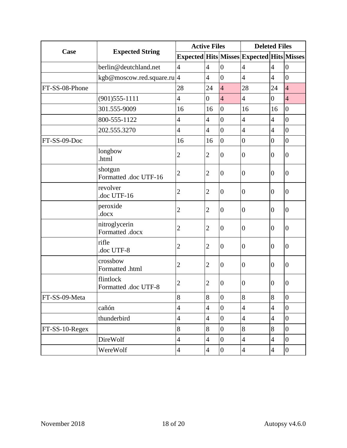| Case           |                                   | <b>Active Files</b> |                |                  | <b>Deleted Files</b>                      |                          |                  |
|----------------|-----------------------------------|---------------------|----------------|------------------|-------------------------------------------|--------------------------|------------------|
|                | <b>Expected String</b>            |                     |                |                  | Expected Hits Misses Expected Hits Misses |                          |                  |
|                | berlin@deutchland.net             | $\overline{4}$      | $\overline{4}$ | $\boldsymbol{0}$ | 4                                         | $\overline{4}$           | $\overline{0}$   |
|                | kgb@moscow.red.square.ru 4        |                     | $\overline{4}$ | $\overline{0}$   | $\overline{4}$                            | $\overline{4}$           | $\overline{0}$   |
| FT-SS-08-Phone |                                   | 28                  | 24             | $\overline{4}$   | 28                                        | 24                       | $\overline{4}$   |
|                | $(901)$ 555-1111                  | $\overline{4}$      | $\overline{0}$ | $\overline{4}$   | $\overline{4}$                            | 0                        | $\overline{4}$   |
|                | 301.555-9009                      | 16                  | 16             | $\overline{0}$   | 16                                        | 16                       | $\boldsymbol{0}$ |
|                | 800-555-1122                      | 4                   | $\overline{4}$ | $\overline{0}$   | 4                                         | $\overline{\mathcal{A}}$ | $\overline{0}$   |
|                | 202.555.3270                      | $\overline{4}$      | $\overline{4}$ | $\overline{0}$   | $\overline{4}$                            | $\overline{4}$           | $\boldsymbol{0}$ |
| FT-SS-09-Doc   |                                   | 16                  | 16             | $\overline{0}$   | $\overline{0}$                            | $\overline{0}$           | $\overline{0}$   |
|                | longbow<br>.html                  | $\overline{2}$      | $\overline{2}$ | $\boldsymbol{0}$ | $\boldsymbol{0}$                          | $\boldsymbol{0}$         | $\boldsymbol{0}$ |
|                | shotgun<br>Formatted .doc UTF-16  | $\overline{2}$      | 2              | $\boldsymbol{0}$ | $\overline{0}$                            | $\boldsymbol{0}$         | $\boldsymbol{0}$ |
|                | revolver<br>doc UTF-16            | $\overline{c}$      | 2              | $\boldsymbol{0}$ | $\overline{0}$                            | $\boldsymbol{0}$         | $\overline{0}$   |
|                | peroxide<br>.docx                 | $\overline{c}$      | $\overline{2}$ | $\overline{0}$   | $\boldsymbol{0}$                          | $\boldsymbol{0}$         | $\overline{0}$   |
|                | nitroglycerin<br>Formatted .docx  | $\overline{c}$      | 2              | $\boldsymbol{0}$ | $\overline{0}$                            | $\boldsymbol{0}$         | $\boldsymbol{0}$ |
|                | rifle<br>doc UTF-8                | $\overline{2}$      | 2              | $\overline{0}$   | $\overline{0}$                            | $\overline{0}$           | $\overline{0}$   |
|                | crossbow<br>Formatted .html       | $\overline{c}$      | 2              | $\overline{0}$   | $\overline{0}$                            | $\boldsymbol{0}$         | $\overline{0}$   |
|                | flintlock<br>Formatted .doc UTF-8 | $\overline{2}$      | 2              | $\boldsymbol{0}$ | $\overline{0}$                            | $\boldsymbol{0}$         | $\boldsymbol{0}$ |
| FT-SS-09-Meta  |                                   | 8                   | 8              | $\overline{0}$   | 8                                         | $8\,$                    | $\overline{0}$   |
|                | cañón                             | $\overline{4}$      | $\overline{4}$ | $\overline{0}$   | $\overline{\mathcal{A}}$                  | $\overline{4}$           | $\overline{0}$   |
|                | thunderbird                       | $\overline{4}$      | $\overline{4}$ | $\boldsymbol{0}$ | 4                                         | $\overline{4}$           | $\boldsymbol{0}$ |
| FT-SS-10-Regex |                                   | 8                   | 8              | $\overline{0}$   | 8                                         | 8                        | $\overline{0}$   |
|                | DireWolf                          | $\overline{4}$      | $\overline{4}$ | $\overline{0}$   | $\overline{\mathcal{L}}$                  | $\overline{4}$           | $\boldsymbol{0}$ |
|                | WereWolf                          | $\overline{4}$      | $\overline{4}$ | $\overline{0}$   | $\overline{4}$                            | $\overline{4}$           | $\overline{0}$   |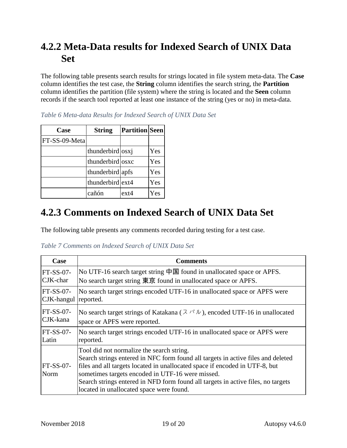#### <span id="page-20-0"></span>**4.2.2 Meta-Data results for Indexed Search of UNIX Data Set**

The following table presents search results for strings located in file system meta-data. The **Case**  column identifies the test case, the **String** column identifies the search string, the **Partition**  column identifies the partition (file system) where the string is located and the **Seen** column records if the search tool reported at least one instance of the string (yes or no) in meta-data.

| Case          | <b>String</b>    | <b>Partition</b> Seen |     |
|---------------|------------------|-----------------------|-----|
| FT-SS-09-Meta |                  |                       |     |
|               | thunderbird osxj |                       | Yes |
|               | thunderbird osxc |                       | Yes |
|               | thunderbird apfs |                       | Yes |
|               | thunderbird ext4 |                       | Yes |
|               | cañón            | $ext{ex}t4$           | Yes |

<span id="page-20-2"></span> *Table 6 Meta-data Results for Indexed Search of UNIX Data Set* 

#### <span id="page-20-1"></span>**4.2.3 Comments on Indexed Search of UNIX Data Set**

The following table presents any comments recorded during testing for a test case.

<span id="page-20-3"></span> *Table 7 Comments on Indexed Search of UNIX Data Set* 

| Case                                | <b>Comments</b>                                                                                                                                                                                                                                                                                                                                                                                  |
|-------------------------------------|--------------------------------------------------------------------------------------------------------------------------------------------------------------------------------------------------------------------------------------------------------------------------------------------------------------------------------------------------------------------------------------------------|
| $FT-SS-07-$                         | No UTF-16 search target string 中国 found in unallocated space or APFS.                                                                                                                                                                                                                                                                                                                            |
| CJK-char                            | No search target string 東京 found in unallocated space or APFS.                                                                                                                                                                                                                                                                                                                                   |
| $FT-SS-07-$<br>CJK-hangul reported. | No search target strings encoded UTF-16 in unallocated space or APFS were                                                                                                                                                                                                                                                                                                                        |
| $FT-SS-07-$                         | No search target strings of Katakana ( $7 \times \sqrt{v}$ ), encoded UTF-16 in unallocated                                                                                                                                                                                                                                                                                                      |
| CJK-kana                            | space or APFS were reported.                                                                                                                                                                                                                                                                                                                                                                     |
| $FT-SS-07-$                         | No search target strings encoded UTF-16 in unallocated space or APFS were                                                                                                                                                                                                                                                                                                                        |
| Latin                               | reported.                                                                                                                                                                                                                                                                                                                                                                                        |
| $FT-SS-07-$<br>Norm                 | Tool did not normalize the search string.<br>Search strings entered in NFC form found all targets in active files and deleted<br>files and all targets located in unallocated space if encoded in UTF-8, but<br>sometimes targets encoded in UTF-16 were missed.<br>Search strings entered in NFD form found all targets in active files, no targets<br>located in unallocated space were found. |